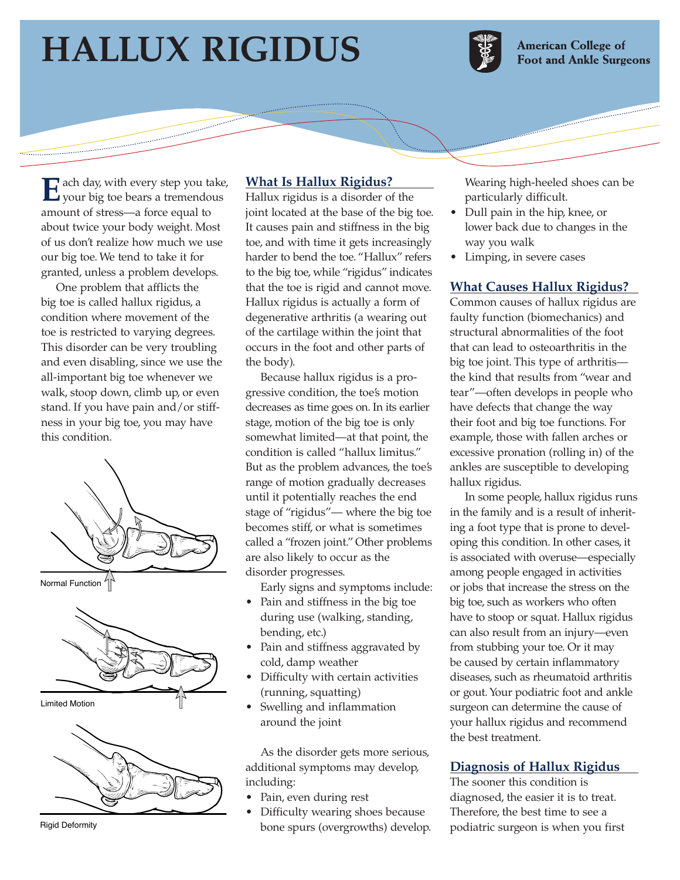# **HALLUX RIGIDUS**



**American College of Foot and Ankle Surgeons** 

E ach day, with every step you take, your big toe bears a tremendous amount of stress—a force equal to about twice your body weight. Most of us don't realize how much we use our big toe. We tend to take it for granted, unless a problem develops.

One problem that afflicts the big toe is called hallux rigidus, a condition where movement of the toe is restricted to varying degrees. This disorder can be very troubling and even disabling, since we use the all-important big toe whenever we walk, stoop down, climb up, or even stand. If you have pain and/or stiffness in your big toe, you may have this condition.



Normal Function  $^{4}$ 





Rigid Deformity

## **What Is Hallux Rigidus?**

Hallux rigidus is a disorder of the joint located at the base of the big toe. It causes pain and stiffness in the big toe, and with time it gets increasingly harder to bend the toe. "Hallux" refers to the big toe, while "rigidus" indicates that the toe is rigid and cannot move. Hallux rigidus is actually a form of degenerative arthritis (a wearing out of the cartilage within the joint that occurs in the foot and other parts of the body).

Because hallux rigidus is a progressive condition, the toe's motion decreases as time goes on. In its earlier stage, motion of the big toe is only somewhat limited—at that point, the condition is called "hallux limitus." But as the problem advances, the toe's range of motion gradually decreases until it potentially reaches the end stage of "rigidus"— where the big toe becomes stiff, or what is sometimes called a "frozen joint." Other problems are also likely to occur as the disorder progresses.

Early signs and symptoms include:

- Pain and stiffness in the big toe during use (walking, standing, bending, etc.)
- Pain and stiffness aggravated by cold, damp weather
- Difficulty with certain activities (running, squatting)
- Swelling and inflammation around the joint

As the disorder gets more serious, additional symptoms may develop, including:

- Pain, even during rest
- Difficulty wearing shoes because bone spurs (overgrowths) develop.

Wearing high-heeled shoes can be particularly difficult.

- Dull pain in the hip, knee, or lower back due to changes in the way you walk
- Limping, in severe cases

## **What Causes Hallux Rigidus?**

Common causes of hallux rigidus are faulty function (biomechanics) and structural abnormalities of the foot that can lead to osteoarthritis in the big toe joint. This type of arthritis the kind that results from "wear and tear"—often develops in people who have defects that change the way their foot and big toe functions. For example, those with fallen arches or excessive pronation (rolling in) of the ankles are susceptible to developing hallux rigidus.

In some people, hallux rigidus runs in the family and is a result of inheriting a foot type that is prone to developing this condition. In other cases, it is associated with overuse—especially among people engaged in activities or jobs that increase the stress on the big toe, such as workers who often have to stoop or squat. Hallux rigidus can also result from an injury—even from stubbing your toe. Or it may be caused by certain inflammatory diseases, such as rheumatoid arthritis or gout. Your podiatric foot and ankle surgeon can determine the cause of your hallux rigidus and recommend the best treatment.

#### **Diagnosis of Hallux Rigidus**

The sooner this condition is diagnosed, the easier it is to treat. Therefore, the best time to see a podiatric surgeon is when you first